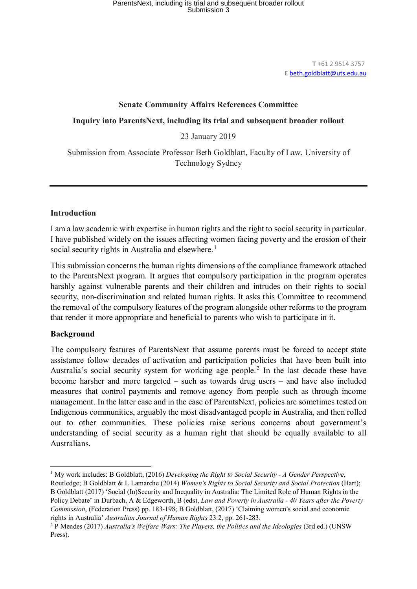**T** +61 2 9514 3757 **E** [beth.goldblatt@uts.edu.au](mailto:beth.goldblatt@uts.edu.au)

## **Senate Community Affairs References Committee**

**Inquiry into ParentsNext, including its trial and subsequent broader rollout**

23 January 2019

Submission from Associate Professor Beth Goldblatt, Faculty of Law, University of Technology Sydney

#### **Introduction**

I am a law academic with expertise in human rights and the right to social security in particular. I have published widely on the issues affecting women facing poverty and the erosion of their social security rights in Australia and elsewhere.<sup>[1](#page-0-0)</sup>

This submission concerns the human rights dimensions of the compliance framework attached to the ParentsNext program. It argues that compulsory participation in the program operates harshly against vulnerable parents and their children and intrudes on their rights to social security, non-discrimination and related human rights. It asks this Committee to recommend the removal of the compulsory features of the program alongside other reforms to the program that render it more appropriate and beneficial to parents who wish to participate in it.

# **Background**

The compulsory features of ParentsNext that assume parents must be forced to accept state assistance follow decades of activation and participation policies that have been built into Australia's social security system for working age people.<sup>[2](#page-0-1)</sup> In the last decade these have become harsher and more targeted – such as towards drug users – and have also included measures that control payments and remove agency from people such as through income management. In the latter case and in the case of ParentsNext, policies are sometimes tested on Indigenous communities, arguably the most disadvantaged people in Australia, and then rolled out to other communities. These policies raise serious concerns about government's understanding of social security as a human right that should be equally available to all Australians.

<span id="page-0-0"></span> $\overline{a}$ <sup>1</sup> My work includes: B Goldblatt, (2016) *Developing the Right to Social Security - A Gender Perspective*, Routledge; B Goldblatt & L Lamarche (2014) *Women's Rights to Social Security and Social Protection* (Hart); B Goldblatt (2017) 'Social (In)Security and Inequality in Australia: The Limited Role of Human Rights in the Policy Debate' in Durbach, A & Edgeworth, B (eds), *Law and Poverty in Australia - 40 Years after the Poverty Commission*, (Federation Press) pp. 183-198; B Goldblatt, (2017) 'Claiming women's social and economic rights in Australia' *Australian Journal of Human Rights* 23:2, pp. 261-283.

<span id="page-0-1"></span><sup>2</sup> P Mendes (2017) *Australia's Welfare Wars: The Players, the Politics and the Ideologies* (3rd ed.) (UNSW Press).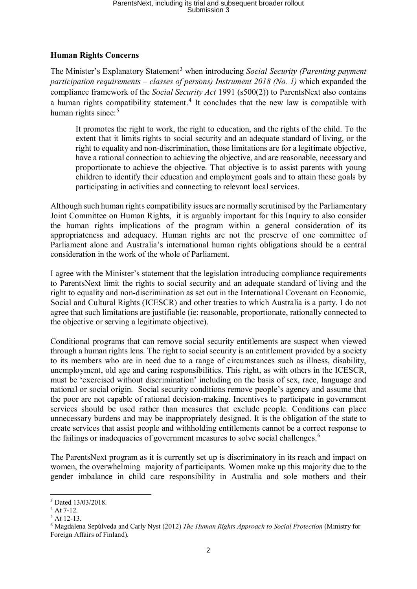# **Human Rights Concerns**

The Minister's Explanatory Statement<sup>[3](#page-1-0)</sup> when introducing *Social Security (Parenting payment*) *participation requirements – classes of persons) Instrument 2018 (No. 1)* which expanded the compliance framework of the *Social Security Act* 1991 (s500(2)) to ParentsNext also contains a human rights compatibility statement.<sup>[4](#page-1-1)</sup> It concludes that the new law is compatible with human rights since:<sup>[5](#page-1-2)</sup>

It promotes the right to work, the right to education, and the rights of the child. To the extent that it limits rights to social security and an adequate standard of living, or the right to equality and non-discrimination, those limitations are for a legitimate objective, have a rational connection to achieving the objective, and are reasonable, necessary and proportionate to achieve the objective. That objective is to assist parents with young children to identify their education and employment goals and to attain these goals by participating in activities and connecting to relevant local services.

Although such human rights compatibility issues are normally scrutinised by the Parliamentary Joint Committee on Human Rights, it is arguably important for this Inquiry to also consider the human rights implications of the program within a general consideration of its appropriateness and adequacy. Human rights are not the preserve of one committee of Parliament alone and Australia's international human rights obligations should be a central consideration in the work of the whole of Parliament.

I agree with the Minister's statement that the legislation introducing compliance requirements to ParentsNext limit the rights to social security and an adequate standard of living and the right to equality and non-discrimination as set out in the International Covenant on Economic, Social and Cultural Rights (ICESCR) and other treaties to which Australia is a party. I do not agree that such limitations are justifiable (ie: reasonable, proportionate, rationally connected to the objective or serving a legitimate objective).

Conditional programs that can remove social security entitlements are suspect when viewed through a human rights lens. The right to social security is an entitlement provided by a society to its members who are in need due to a range of circumstances such as illness, disability, unemployment, old age and caring responsibilities. This right, as with others in the ICESCR, must be 'exercised without discrimination' including on the basis of sex, race, language and national or social origin. Social security conditions remove people's agency and assume that the poor are not capable of rational decision-making. Incentives to participate in government services should be used rather than measures that exclude people. Conditions can place unnecessary burdens and may be inappropriately designed. It is the obligation of the state to create services that assist people and withholding entitlements cannot be a correct response to the failings or inadequacies of government measures to solve social challenges.<sup>[6](#page-1-3)</sup>

The ParentsNext program as it is currently set up is discriminatory in its reach and impact on women, the overwhelming majority of participants. Women make up this majority due to the gender imbalance in child care responsibility in Australia and sole mothers and their

**<sup>.</sup>** <sup>3</sup> Dated 13/03/2018.

<span id="page-1-1"></span><span id="page-1-0"></span> $4$  At 7-12.

<span id="page-1-2"></span><sup>5</sup> At 12-13.

<span id="page-1-3"></span><sup>6</sup> Magdalena Sepúlveda and Carly Nyst (2012) *The Human Rights Approach to Social Protection* (Ministry for Foreign Affairs of Finland).